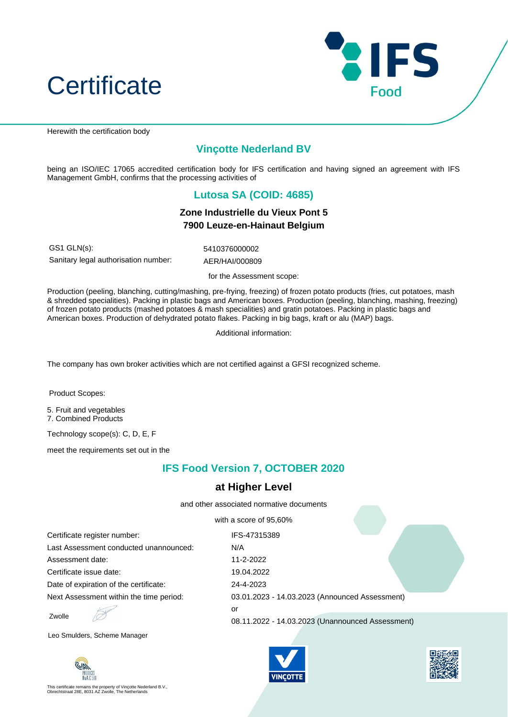



Herewith the certification body

# **Vinçotte Nederland BV**

being an ISO/IEC 17065 accredited certification body for IFS certification and having signed an agreement with IFS Management GmbH, confirms that the processing activities of

### **Lutosa SA (COID: 4685)**

#### **Zone Industrielle du Vieux Pont 5 7900 Leuze-en-Hainaut Belgium**

GS1 GLN(s): 5410376000002 Sanitary legal authorisation number: AER/HAI/000809

for the Assessment scope:

Production (peeling, blanching, cutting/mashing, pre-frying, freezing) of frozen potato products (fries, cut potatoes, mash & shredded specialities). Packing in plastic bags and American boxes. Production (peeling, blanching, mashing, freezing) of frozen potato products (mashed potatoes & mash specialities) and gratin potatoes. Packing in plastic bags and American boxes. Production of dehydrated potato flakes. Packing in big bags, kraft or alu (MAP) bags.

Additional information:

The company has own broker activities which are not certified against a GFSI recognized scheme.

Product Scopes:

5. Fruit and vegetables 7. Combined Products

Technology scope(s): C, D, E, F

meet the requirements set out in the

## **IFS Food Version 7, OCTOBER 2020**

#### **at Higher Level**

and other associated normative documents

with a score of 95,60%

| Certificate register number:            | IFS-47315389                                     |
|-----------------------------------------|--------------------------------------------------|
| Last Assessment conducted unannounced:  | N/A                                              |
| Assessment date:                        | 11-2-2022                                        |
| Certificate issue date:                 | 19.04.2022                                       |
| Date of expiration of the certificate:  | 24-4-2023                                        |
| Next Assessment within the time period: | 03.01.2023 - 14.03.2023 (Announced Assessment)   |
| Zwolle                                  | or                                               |
|                                         | 08.11.2022 - 14.03.2023 (Unannounced Assessment) |

Leo Smulders, Scheme Manager



This certificate remains the property of Vinçotte Nederland B.V., Obrechtstraat 28E, 8031 AZ Zwolle, The Netherlands



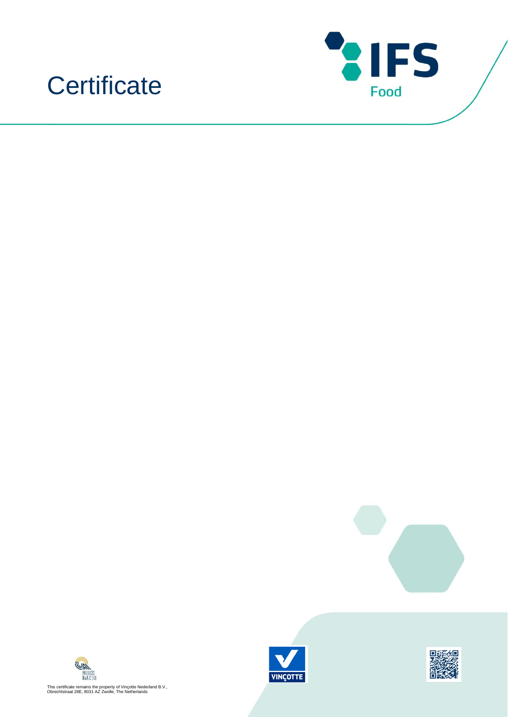